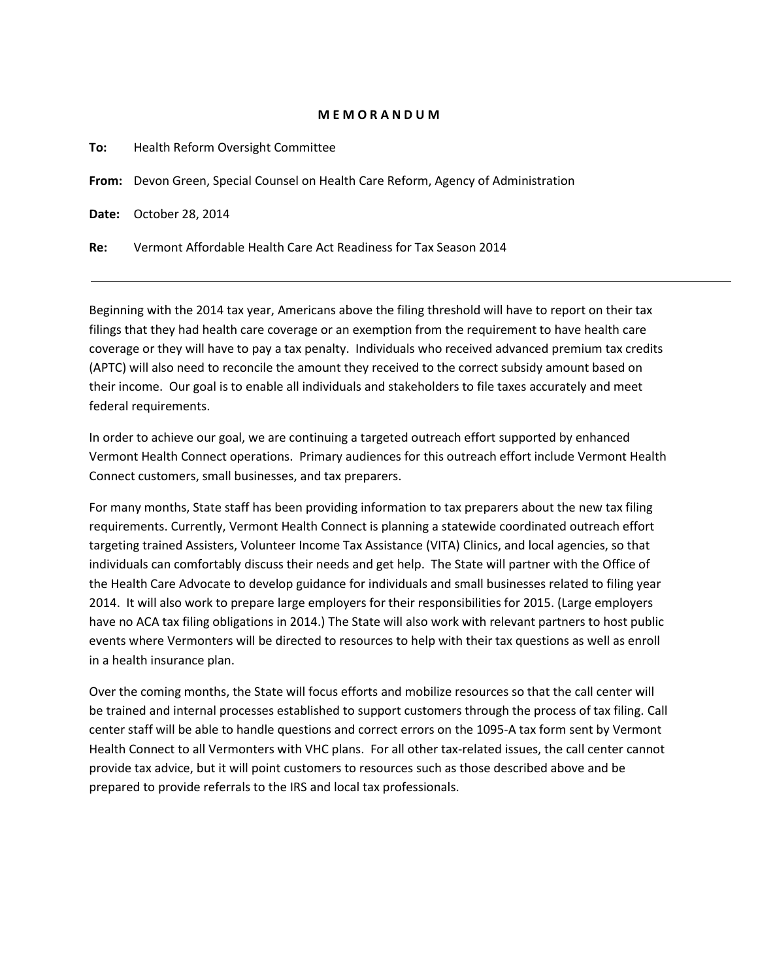## **M E M O R A N D U M**

| To: | Health Reform Oversight Committee                                                  |
|-----|------------------------------------------------------------------------------------|
|     | From: Devon Green, Special Counsel on Health Care Reform, Agency of Administration |
|     | <b>Date:</b> October 28, 2014                                                      |
| Re: | Vermont Affordable Health Care Act Readiness for Tax Season 2014                   |

Beginning with the 2014 tax year, Americans above the filing threshold will have to report on their tax filings that they had health care coverage or an exemption from the requirement to have health care coverage or they will have to pay a tax penalty. Individuals who received advanced premium tax credits (APTC) will also need to reconcile the amount they received to the correct subsidy amount based on their income. Our goal is to enable all individuals and stakeholders to file taxes accurately and meet federal requirements.

In order to achieve our goal, we are continuing a targeted outreach effort supported by enhanced Vermont Health Connect operations. Primary audiences for this outreach effort include Vermont Health Connect customers, small businesses, and tax preparers.

For many months, State staff has been providing information to tax preparers about the new tax filing requirements. Currently, Vermont Health Connect is planning a statewide coordinated outreach effort targeting trained Assisters, Volunteer Income Tax Assistance (VITA) Clinics, and local agencies, so that individuals can comfortably discuss their needs and get help. The State will partner with the Office of the Health Care Advocate to develop guidance for individuals and small businesses related to filing year 2014. It will also work to prepare large employers for their responsibilities for 2015. (Large employers have no ACA tax filing obligations in 2014.) The State will also work with relevant partners to host public events where Vermonters will be directed to resources to help with their tax questions as well as enroll in a health insurance plan.

Over the coming months, the State will focus efforts and mobilize resources so that the call center will be trained and internal processes established to support customers through the process of tax filing. Call center staff will be able to handle questions and correct errors on the 1095-A tax form sent by Vermont Health Connect to all Vermonters with VHC plans. For all other tax-related issues, the call center cannot provide tax advice, but it will point customers to resources such as those described above and be prepared to provide referrals to the IRS and local tax professionals.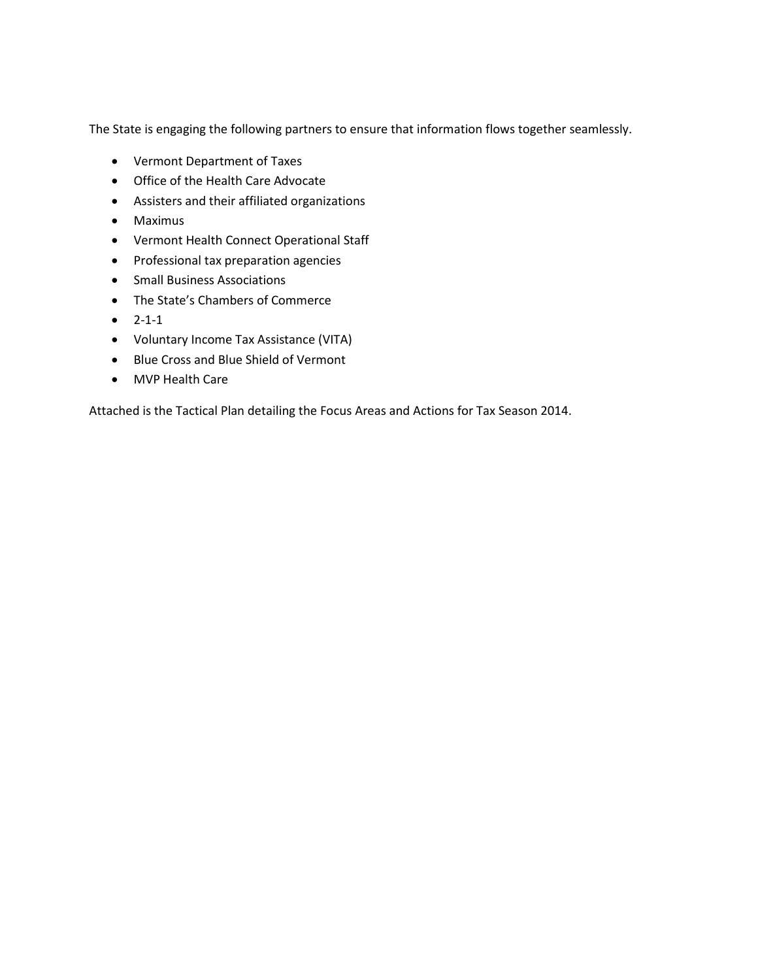The State is engaging the following partners to ensure that information flows together seamlessly.

- Vermont Department of Taxes
- Office of the Health Care Advocate
- Assisters and their affiliated organizations
- Maximus
- Vermont Health Connect Operational Staff
- Professional tax preparation agencies
- **•** Small Business Associations
- The State's Chambers of Commerce
- $-2-1-1$
- Voluntary Income Tax Assistance (VITA)
- Blue Cross and Blue Shield of Vermont
- MVP Health Care

Attached is the Tactical Plan detailing the Focus Areas and Actions for Tax Season 2014.